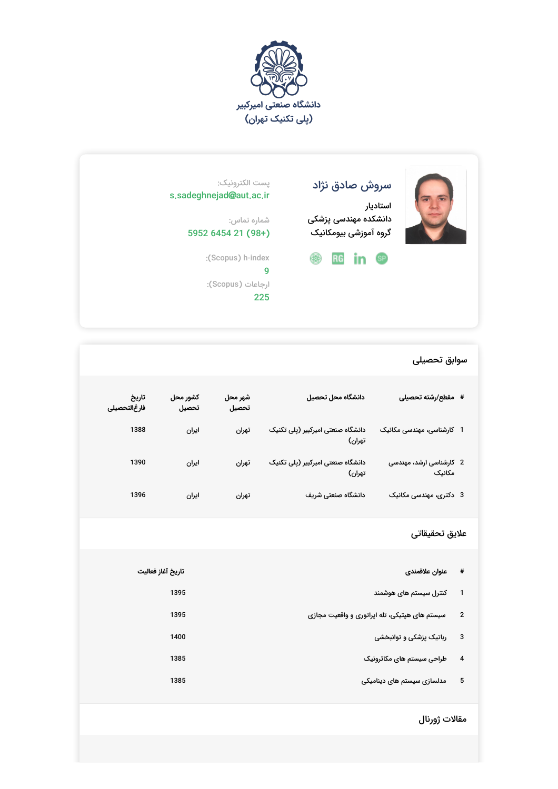



# سروش صادق نژاد

استادیار دانشکده مهندسی پزشکی گروه آموزشی بیومکانیک

## :(Scopus) h-index **@** RG in <sup>@</sup>

## پست الکترونیک: s.sadeghnejad@aut.ac.ir

شماره تماس: 5952 6454 21 (98+)

> 9 ارجاعات (Scopus): 225

## سوابق تحصیلی

| # مقطع/رشته تحصيلى                | دانشگاه محل تحصيل                           | شهر محل<br>تحصيل | كشور محل<br>تحصيل | تاريخ<br>فارغالتحصيلى |
|-----------------------------------|---------------------------------------------|------------------|-------------------|-----------------------|
| 1 کارشناسی، مهندسی مکانیک         | دانشگاه صنعتی امیرکبیر (پلی تکنیک<br>تهران) | تهران            | ايران             | 1388                  |
| 2 کارشناسی ارشد، مهندسی<br>مکانیک | دانشگاه صنعتی امیرکبیر (پلی تکنیک<br>تهران) | تهران            | ايران             | 1390                  |
| 3 دکتری، مهندسی مکانیک            | دانشگاه صنعتی شریف                          | تهران            | ايران             | 1396                  |

## علایق تحقیقاتی

| #                       | عنوان علاقمندى                                | تاريخ آغاز فعاليت |
|-------------------------|-----------------------------------------------|-------------------|
|                         | کنترل سیستم های هوشمند                        | 1395              |
| $\mathbf{2}$            | سیستم های هپتیکی، تله اپراتوری و واقعیت مجازی | 1395              |
| 3                       | رباتیک پزشکی و توانبخشی                       | 1400              |
| $\overline{\mathbf{4}}$ | طراحی سیستم های مکاترونیک                     | 1385              |
| 5                       | مدلسازی سیستم های دینامیکی                    | 1385              |

## مقالات ژورنال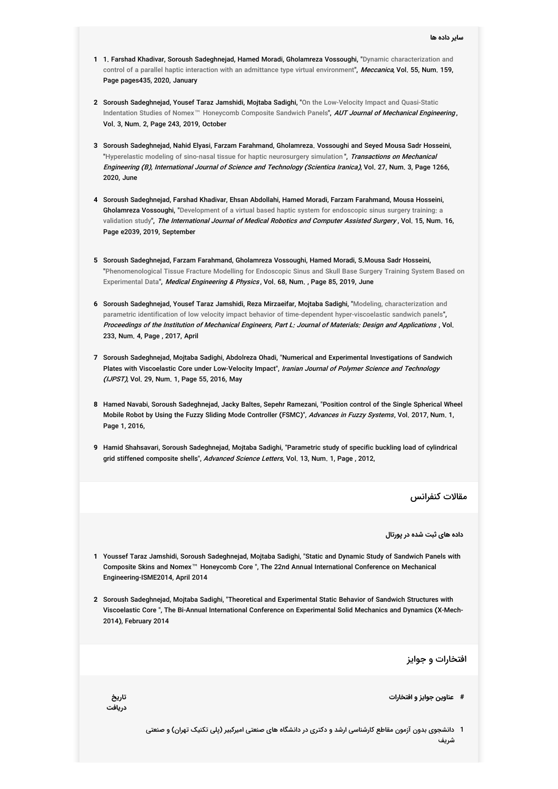- **1** 1. Farshad Khadivar, Soroush Sadeghnejad, Hamed Moradi, Gholamreza Vossoughi, " Dynamic [characterization](http://link.springer.com/article/10.1007/s11012-020-01125-1) and control of a parallel haptic interaction with an admittance type virtual environment", Meccanica, Vol. 55, Num. 159, Page pages435, 2020, January
- **2** Soroush [Sadeghnejad,](http://ajme.aut.ac.ir/article_3160.html) Yousef Taraz Jamshidi, Mojtaba Sadighi, " On the Low-Velocity Impact and Quasi-Static Indentation Studies of Nomex™ Honeycomb Composite Sandwich Panels**",** *AUT Journal of Mechanical Engineering* **,** Vol. 3, Num. 2, Page 243, 2019, October
- **3** Soroush Sadeghnejad, Nahid Elyasi, Farzam Farahmand, Gholamreza. Vossoughi and Seyed Mousa Sadr Hosseini, "Hyperelastic modeling of sino-nasal tissue for haptic [neurosurgery](http://scientiairanica.sharif.edu/article_21263.html) simulation", Transactions on Mechanical Engineering (B), International Journal of Science and Technology (Scientica Iranica), Vol. 27, Num. 3, Page 1266, 2020, June
- **4** Soroush Sadeghnejad, Farshad Khadivar, Ehsan Abdollahi, Hamed Moradi, Farzam Farahmand, Mousa Hosseini, **Gholamreza Vossoughi,** "[Development](http://onlinelibrary.wiley.com/doi/10.1002/rcs.2039) of a virtual based haptic system for endoscopic sinus surgery training: a validation study", *The International Journal of Medical Robotics and Computer Assisted Surgery* , Vol. 15, Num. 16, Page e2039, 2019, September
- **5** Soroush Sadeghnejad, Farzam Farahmand, Gholamreza Vossoughi, Hamed Moradi, S.Mousa Sadr Hosseini, " [Phenomenological](http://www.sciencedirect.com/science/article/abs/pii/S1350453319300281?via%253Dihub) Tissue Fracture Modelling for Endoscopic Sinus and Skull Base Surgery Training System Based on Experimental Data", *Medical Engineering & Physics*, Vol. 68, Num., Page 85, 2019, June
- **6** Soroush Sadeghnejad, Yousef Taraz Jamshidi, Reza Mirzaeifar, Mojtaba Sadighi, " Modeling, characterization and ", parametric identification of low velocity impact behavior of time-dependent [hyper-viscoelastic](http://journals.sagepub.com/doi/abs/10.1177/1464420716688233) sandwich panels Proceedings of the Institution of Mechanical Engineers, Part L: Journal of Materials: Design and Applications , Vol. 233, Num. 4, Page , 2017, April
- **7** Soroush Sadeghnejad, Mojtaba Sadighi, Abdolreza Ohadi, "Numerical and Experimental Investigations of Sandwich Plates with Viscoelastic Core under Low-Velocity Impact", Iranian Journal of Polymer Science and Technology (IJPST), Vol. 29, Num. 1, Page 55, 2016, May
- **8** Hamed Navabi, Soroush Sadeghnejad, Jacky Baltes, Sepehr Ramezani, "Position control of the Single Spherical Wheel Mobile Robot by Using the Fuzzy Sliding Mode Controller (FSMC)", *Advances in Fuzzy Systems*, Vol. 2017, Num. 1, Page 1, 2016,
- **9** Hamid Shahsavari, Soroush Sadeghnejad, Mojtaba Sadighi, "Parametric study of specific buckling load of cylindrical grid stiffened composite shells", Advanced Science Letters, Vol. 13, Num. 1, Page, 2012,

مقالات کنفرانس

**داده های ثبت شده در پورتال**

- **1** Youssef Taraz Jamshidi, Soroush Sadeghnejad, Mojtaba Sadighi, "Static and Dynamic Study of Sandwich Panels with Composite Skins and Nomex™ Honeycomb Core ", The 22nd Annual International Conference on Mechanical Engineering-ISME2014, April 2014
- **2** Soroush Sadeghnejad, Mojtaba Sadighi, "Theoretical and Experimental Static Behavior of Sandwich Structures with Viscoelastic Core ", The Bi-Annual International Conference on Experimental Solid Mechanics and Dynamics (X-Mech-2014), February 2014

افتخارات و جوایز

- **# عناوین جوایز و افتخارات تاریخ**
- **دریافت**
- 1 دانشجوی بدون آزمون مقاطع کارشناسی ارشد و دکتری در دانشگاه های صنعتی امیرکبیر (پلی تکنیک تهران) و صنعتی شریف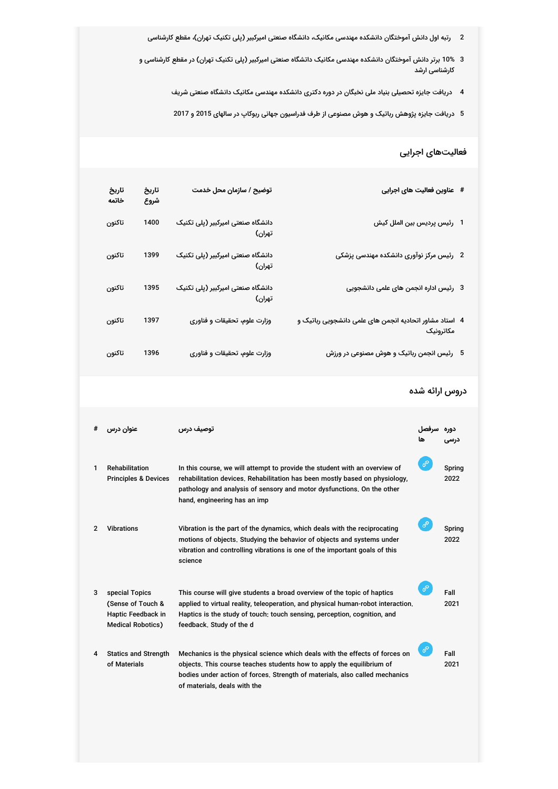- 2 رتبه اول دانش آموختگان دانشکده مهندسی مکانیک، دانشگاه صنعتی امیرکبیر (پلی تکنیک تهران)، مقطع کارشناسی
- 3 10% برتر دانش آموختگان دانشکده مهندسی مکانیک داتشگاه صنعتی امیرکبیر (پلی تکنیک تهران) در مقطع کارشناسی و کارشناسی ارشد
	- 4 دریافت جایزه تحصیلی بنیاد ملی نخبگان در دوره دکتری دانشکده مهندسی مکانیک دانشگاه صنعتی شریف
	- 5 دریافت جایزه پژوهش رباتیک و هوش مصنوعی از طرف فدراسیون جهانی ربوکاپ در سالهای 2015 و 2017

#### فعالیتهای اجرایی

| # عناوين فعاليت هاي اجرايي                                            | توضیح / سازمان محل خدمت                     | تاريخ<br>شروع | تاريخ<br>خاتمه |
|-----------------------------------------------------------------------|---------------------------------------------|---------------|----------------|
| 1 رئيس پرديس بين الملل كيش                                            | دانشگاه صنعتی امیرکبیر (پلی تکنیک<br>تهران) | 1400          | تاكنون         |
| 2 ۔ رئیس مرکز نوآوری دانشکدہ مهندسی پزشکی                             | دانشگاه صنعتی امیرکبیر (پلی تکنیک<br>تهران) | 1399          | تاكنون         |
| 3 رئیس ادارہ انجمن های علمی دانشجویی                                  | دانشگاه صنعتی امیرکبیر (پلی تکنیک<br>تهران) | 1395          | تاكنون         |
| 4   استاد مشاور اتحادیه انجمن های علمی دانشجویی رباتیک و<br>مكاترونيك | وزارت علوم، تحقیقات و فناوری                | 1397          | تاكنون         |
| 5 رئیس انجمن رباتیک و هوش مصنوعی در ورزش                              | وزارت علوم، تحقیقات و فناوری                | 1396          | تاكنون         |

#### دروس ارائه شده

| # | عنوان درس                                                                             | توصيف درس                                                                                                                                                                                                                                                           |   |                |
|---|---------------------------------------------------------------------------------------|---------------------------------------------------------------------------------------------------------------------------------------------------------------------------------------------------------------------------------------------------------------------|---|----------------|
| 1 | Rehabilitation<br><b>Principles &amp; Devices</b>                                     | In this course, we will attempt to provide the student with an overview of<br>rehabilitation devices, Rehabilitation has been mostly based on physiology,<br>pathology and analysis of sensory and motor dysfunctions. On the other<br>hand, engineering has an imp | ℰ | Spring<br>2022 |
| 2 | <b>Vibrations</b>                                                                     | Vibration is the part of the dynamics, which deals with the reciprocating<br>motions of objects. Studying the behavior of objects and systems under<br>vibration and controlling vibrations is one of the important goals of this<br>science                        | ℰ | Spring<br>2022 |
| 3 | special Topics<br>(Sense of Touch &<br>Haptic Feedback in<br><b>Medical Robotics)</b> | This course will give students a broad overview of the topic of haptics<br>applied to virtual reality, teleoperation, and physical human-robot interaction.<br>Haptics is the study of touch: touch sensing, perception, cognition, and<br>feedback, Study of the d | Ø | Fall<br>2021   |
| 4 | <b>Statics and Strength</b><br>of Materials                                           | Mechanics is the physical science which deals with the effects of forces on<br>objects. This course teaches students how to apply the equilibrium of<br>bodies under action of forces. Strength of materials, also called mechanics<br>of materials, deals with the |   | Fall<br>2021   |